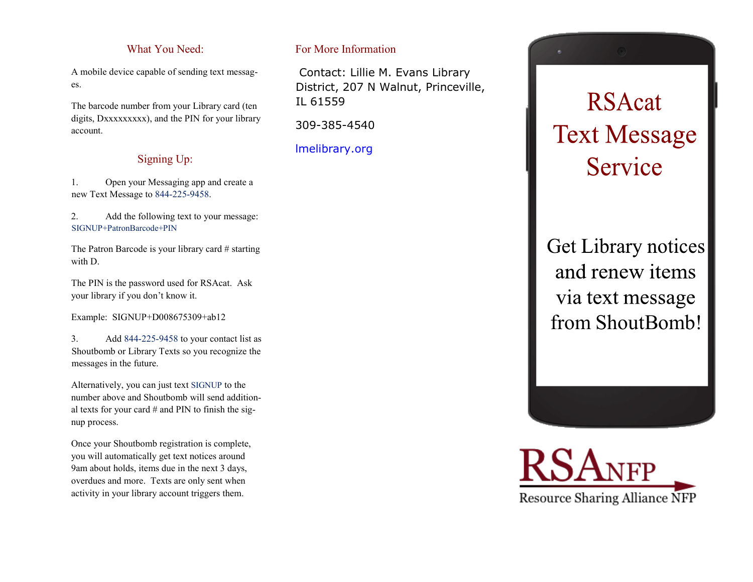# What You Need:

A mobile device capable of sending text messages.

The barcode number from your Library card (ten digits, Dxxxxxxxxx), and the PIN for your library account.

# Signing Up:

1. Open your Messaging app and create a new Text Message to 844-225-9458.

2. Add the following text to your message: SIGNUP+PatronBarcode+PIN

The Patron Barcode is your library card # starting with D.

The PIN is the password used for RSAcat. Ask your library if you don't know it.

Example: SIGNUP+D008675309+ab12

3. Add 844-225-9458 to your contact list as Shoutbomb or Library Texts so you recognize the messages in the future.

Alternatively, you can just text SIGNUP to the number above and Shoutbomb will send additional texts for your card  $#$  and PIN to finish the signup process.

Once your Shoutbomb registration is complete, you will automatically get text notices around 9am about holds, items due in the next 3 days, overdues and more. Texts are only sent when activity in your library account triggers them.

# For More Information

Contact: Lillie M. Evans Library District, 207 N Walnut, Princeville, IL 61559

309-385-4540

lmelibrary.org



# **RSAcat Text Message** Service

Get Library notices and renew items via text message from ShoutBomb!